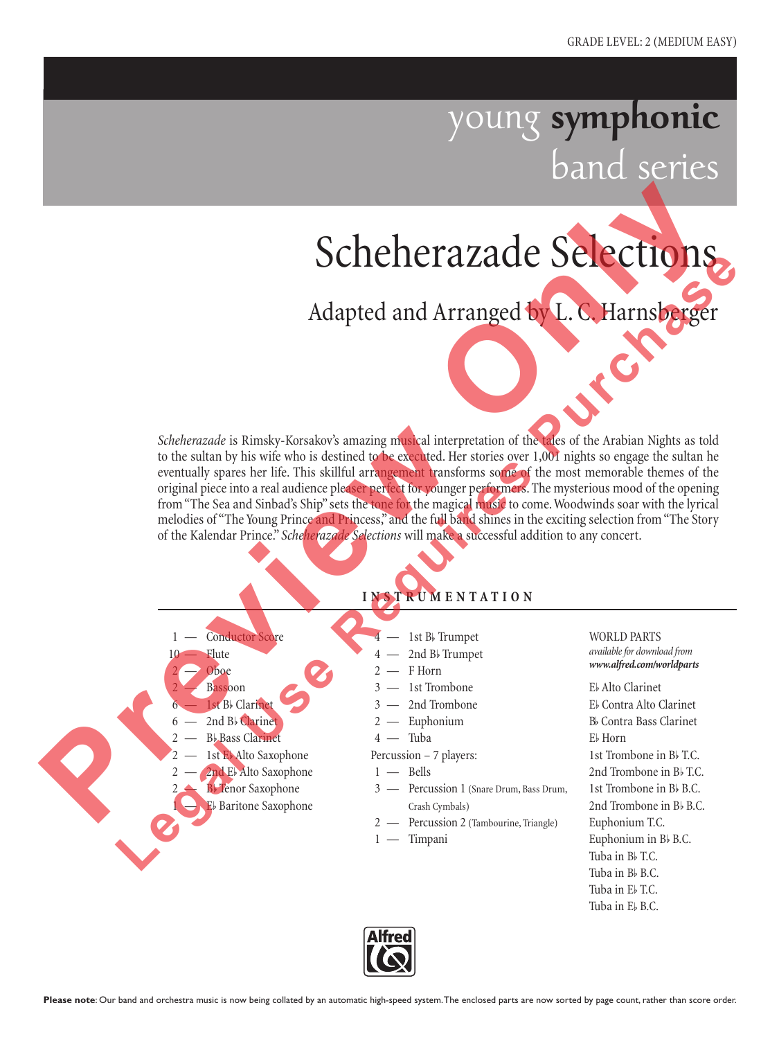## ung symphonic band series

## Scheherazade Selections

Adapted and Arranged by L. C. Harnsberger

*Scheherazade* is Rimsky-Korsakov's amazing musical interpretation of the tales of the Arabian Nights as told to the sultan by his wife who is destined to be executed. Her stories over 1,001 nights so engage the sultan he eventually spares her life. This skillful arrangement transforms some of the most memorable themes of the original piece into a real audience pleaser perfect for younger performers. The mysterious mood of the opening from "The Sea and Sinbad's Ship" sets the tone for the magical music to come. Woodwinds soar with the lyrical melodies of "The Young Prince and Princess," and the full band shines in the exciting selection from "The Story of the Kalendar Prince." *Scheherazade Selections* will make a successful addition to any concert. Schemart is finally senator analog of  $\theta$ . **C.** Harmsbegger<br>
Schemart is finally senator analog of  $\theta$ . **C.** Harmsbegger<br>
Schemart is finally label of the senator is and the senator is the senator is the senator of the **Legal Use Representation of the Control in the Control of the Anthony Newsletter Section 2.1**<br>
Sobdemazode is Rimsky-Korsakov's annating and all interpretation of the Mass of the Arabian Nights as told<br>
to the sultant by

- Conductor Score
- 10 Flute
- Oboe Bassoon
- 1st B<sub>b</sub> Clarinet
- 2nd B<sub>b</sub> Clarinet
- BL Bass Clarinet
- 1st El Alto Saxophone
- 2nd Eb Alto Saxophone
	- **B** Tenor Saxophone
	- $E_{\flat}$  Baritone Saxophone
- **i n s t r u m e n t a t i o n**
	- 1st B<sub>b</sub> Trumpet
	- 2nd B<sub>b</sub> Trumpet
	- $2 F$  Horn
		- 1st Trombone
	- 2nd Trombone
	- Euphonium
	- 4 Tuba
	- Percussion 7 players:
	- 1 Bells
	- 3 Percussion 1 (Snare Drum, Bass Drum, Crash Cymbals)
	- 2 Percussion 2 (Tambourine, Triangle)
	- 1 Timpani

WORLD PARTS *available for download from www.alfred.com/worldparts*

E<sub>b</sub> Alto Clarinet E<sub>b</sub> Contra Alto Clarinet B<sub>b</sub> Contra Bass Clarinet E<sub>b</sub> Horn 1st Trombone in  $B \flat$  T.C. 2nd Trombone in B<sub>b</sub> T.C. 1st Trombone in B<sub>b</sub> B.C. 2nd Trombone in B<sub>b</sub> B.C. Euphonium T.C. Euphonium in B<sub>b</sub> B.C. Tuba in B<sub>b</sub> T.C. Tuba in B<sub>b</sub> B.C. Tuba in E<sub>b</sub> T.C.

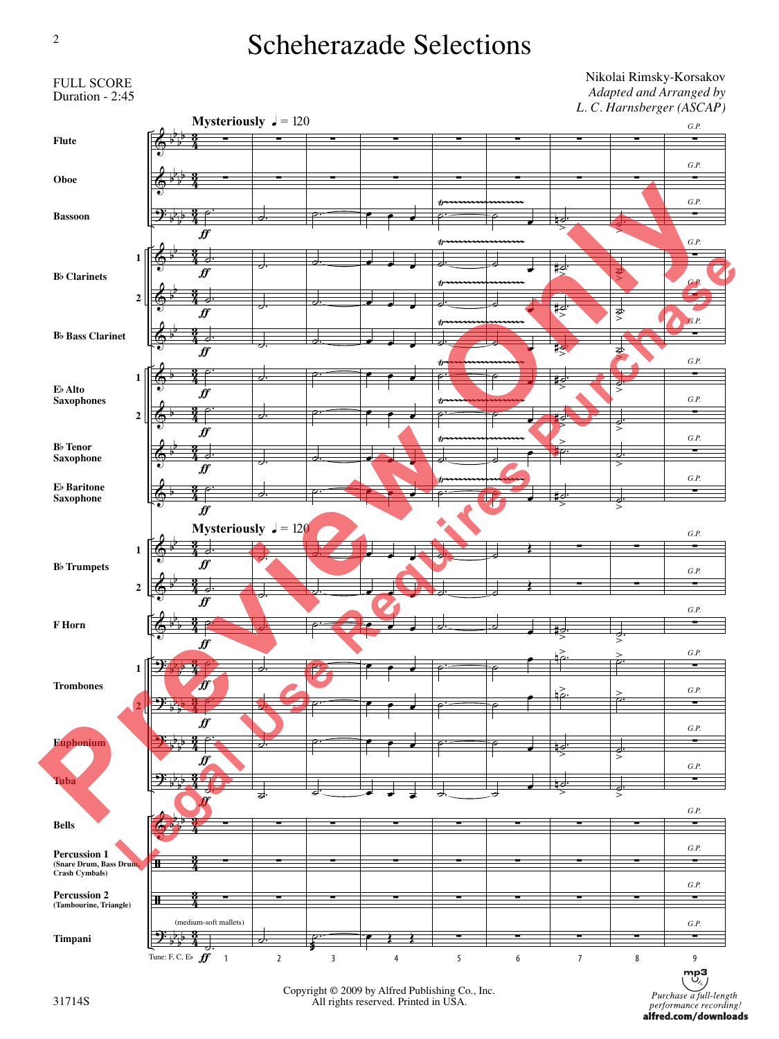## Scheherazade Selections



All rights reserved. Printed in USA.

*Purchase a full-length*<br>*performance recording!*<br>**alfred.com/downloads**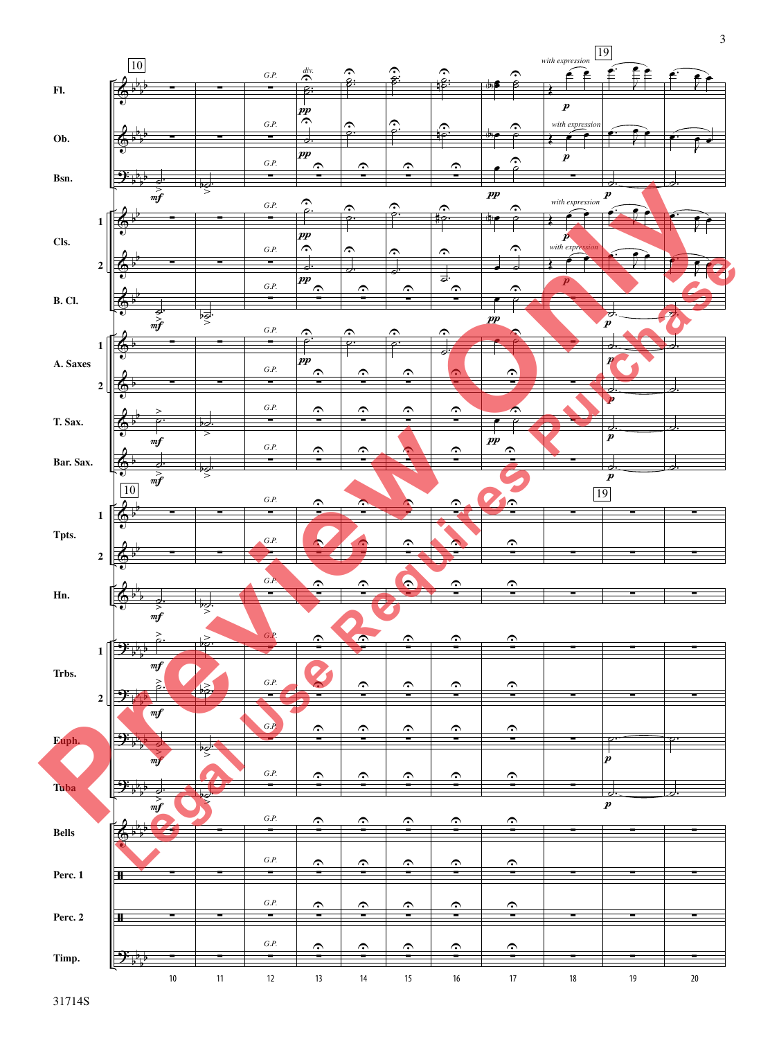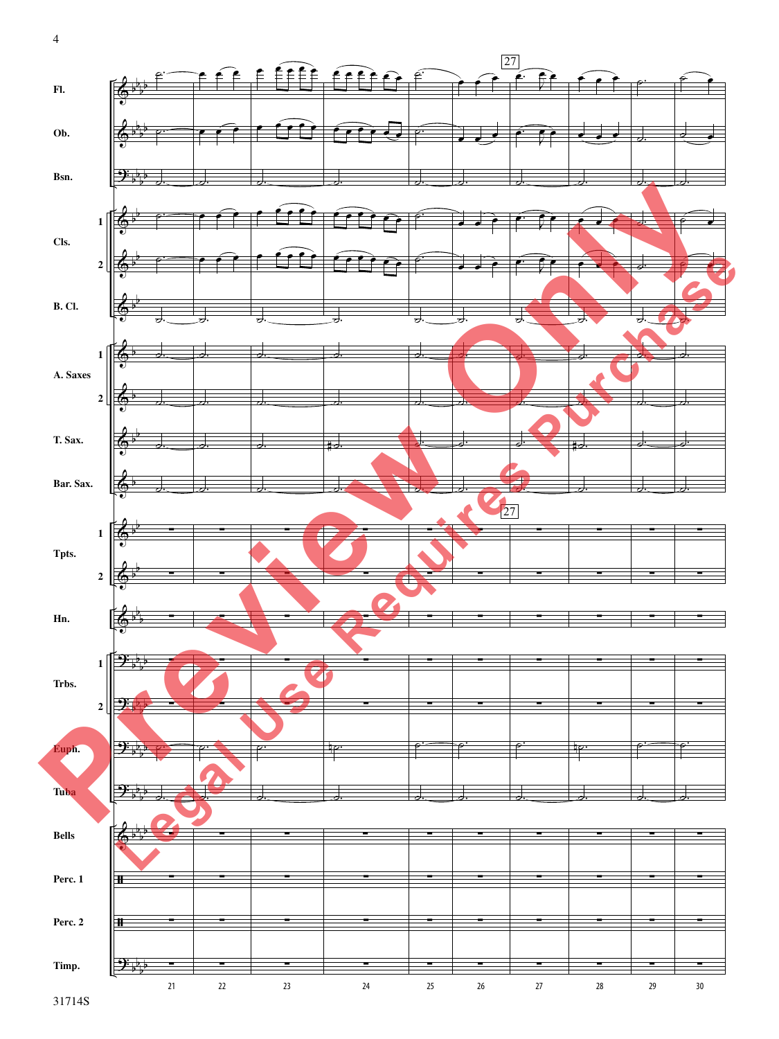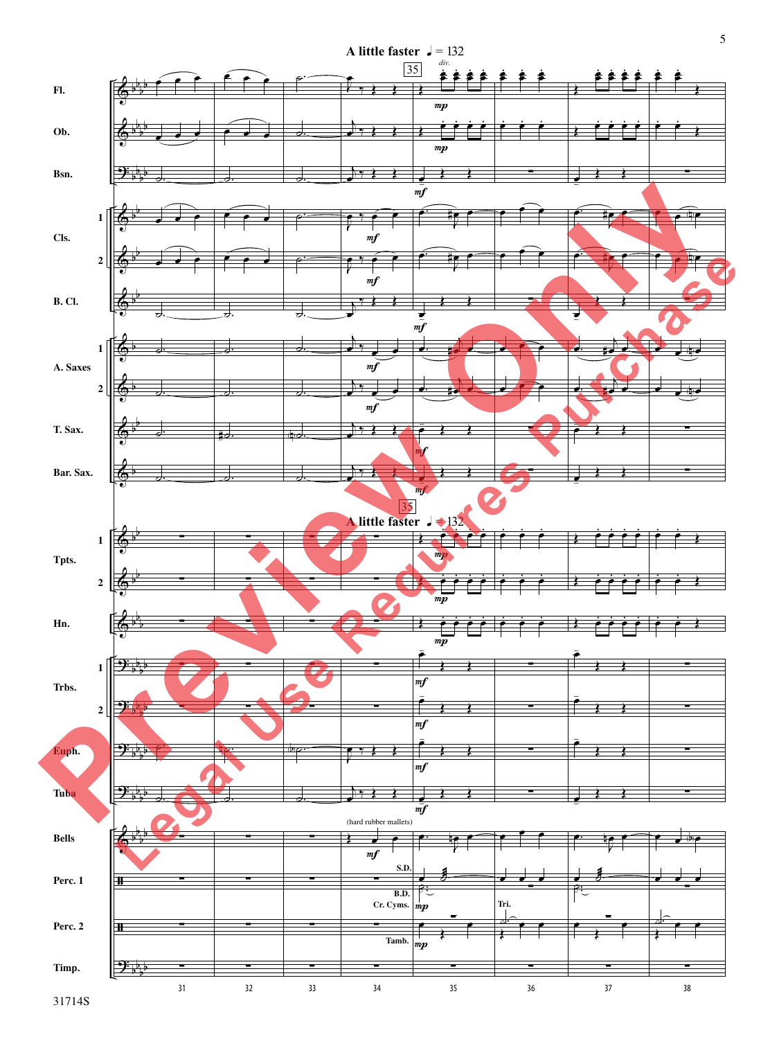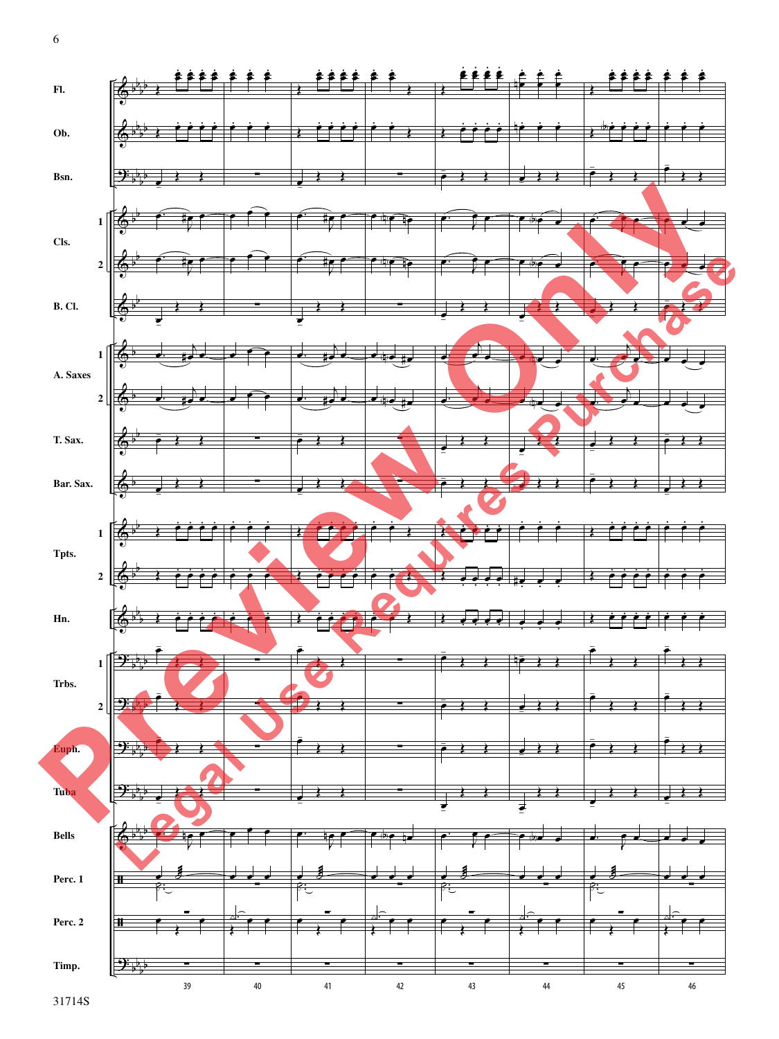

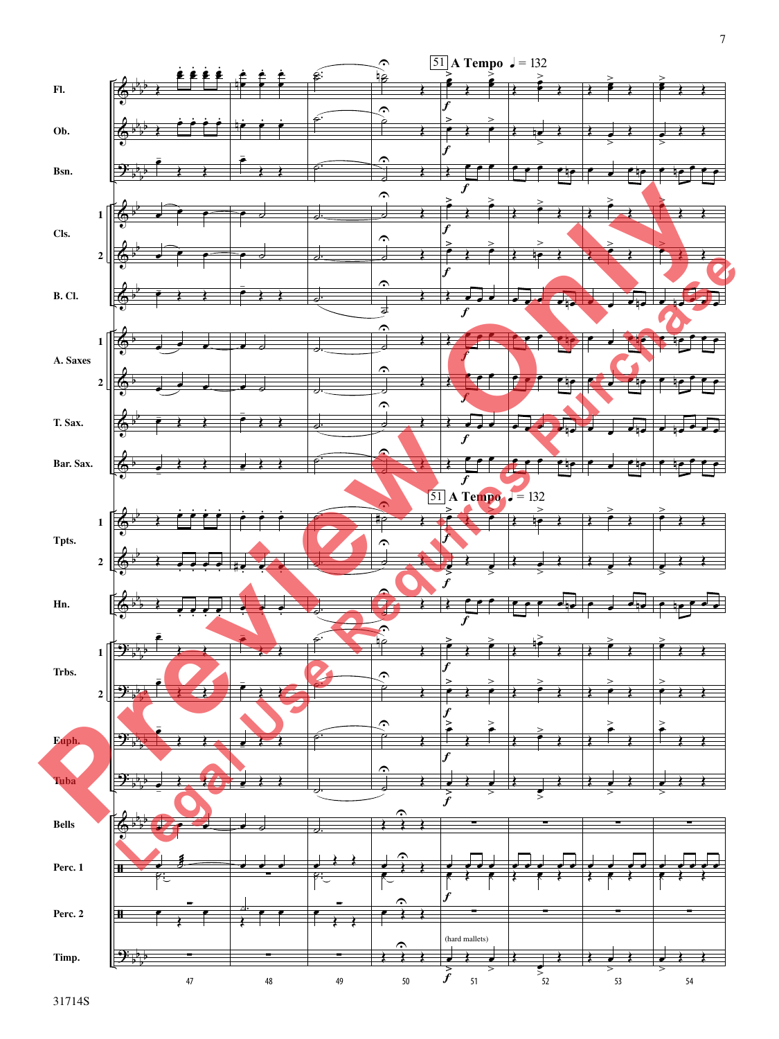

31714S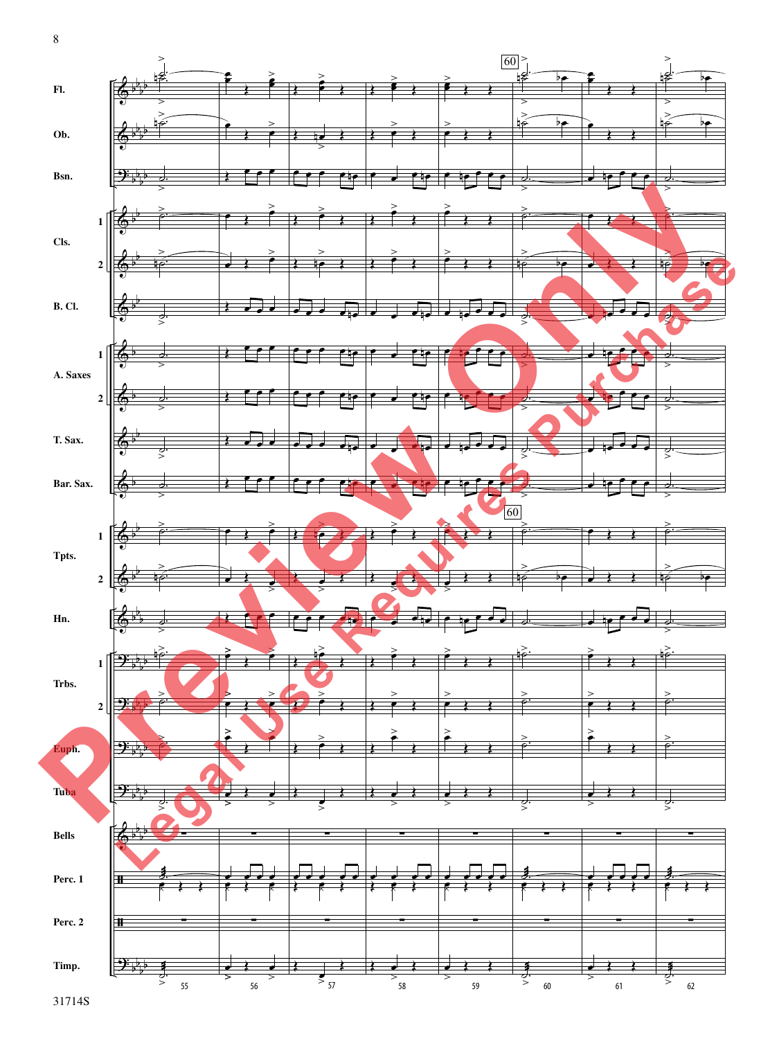

## 31714S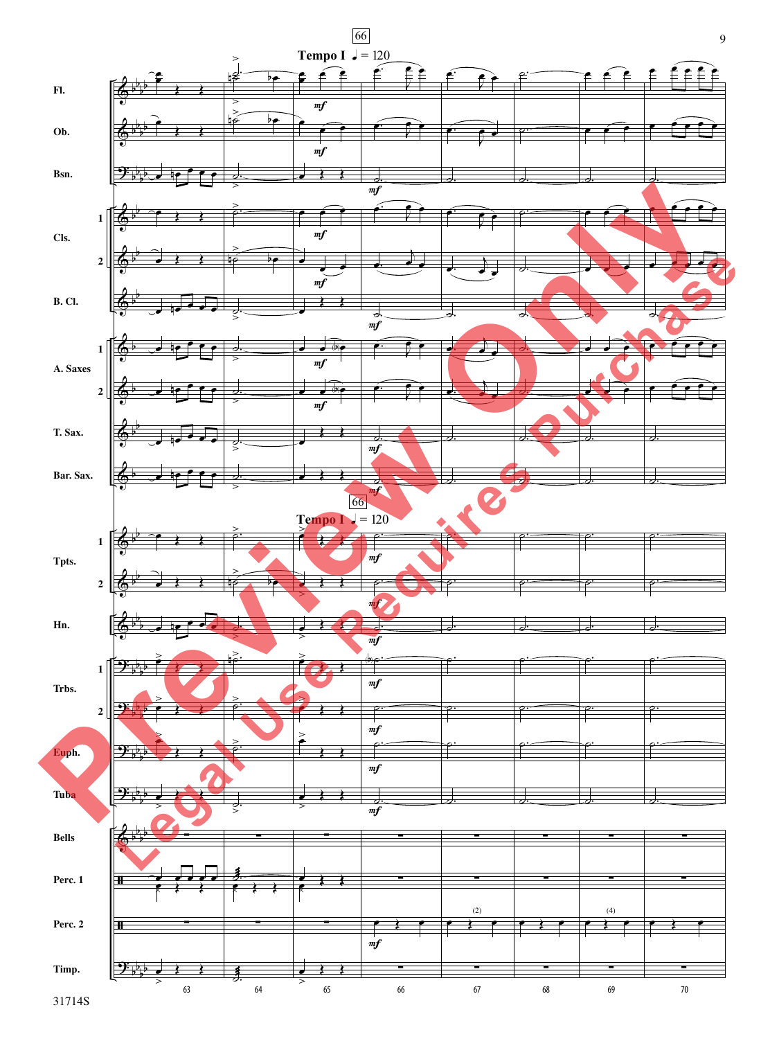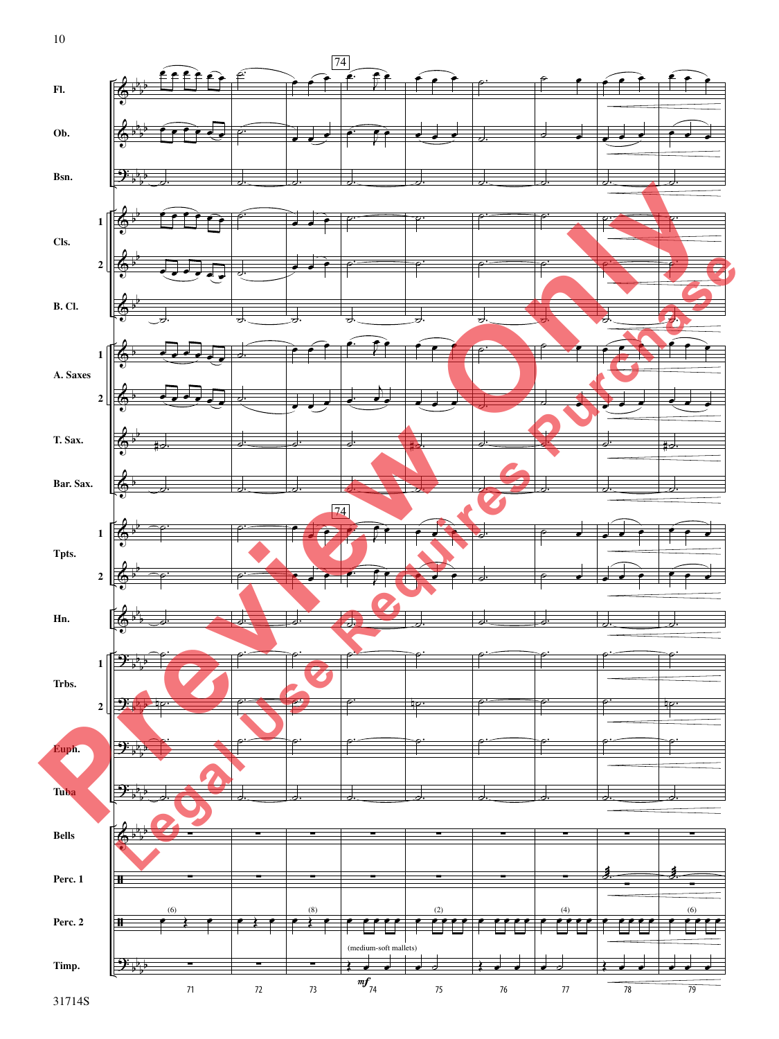

31714S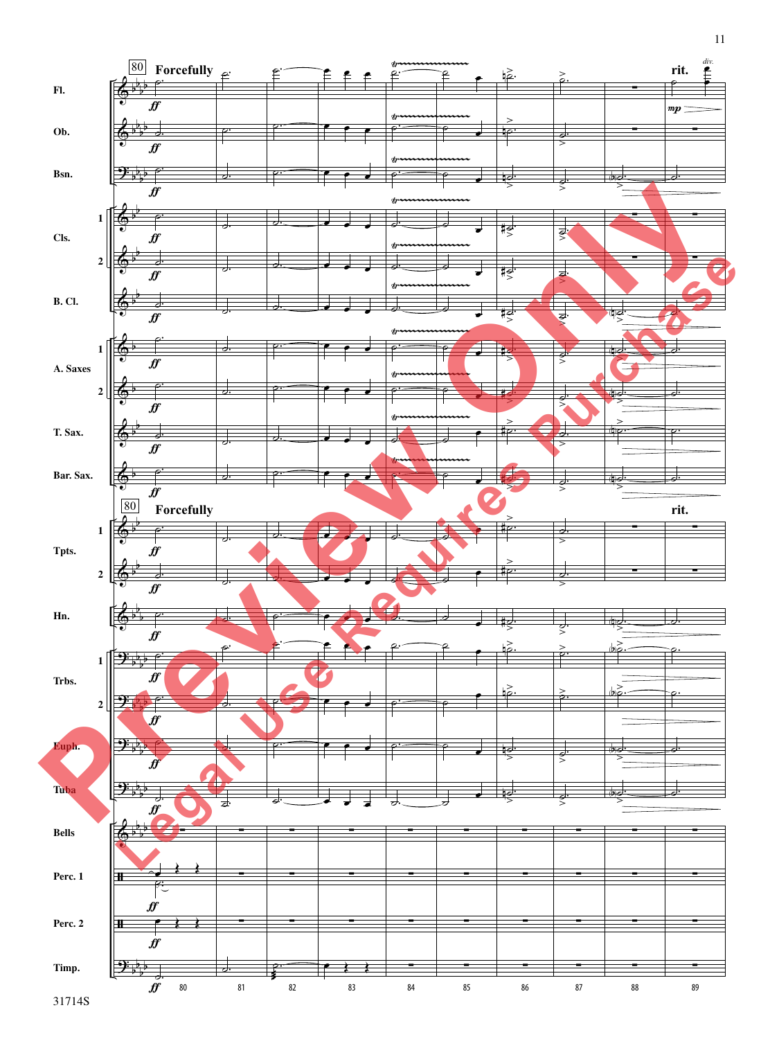